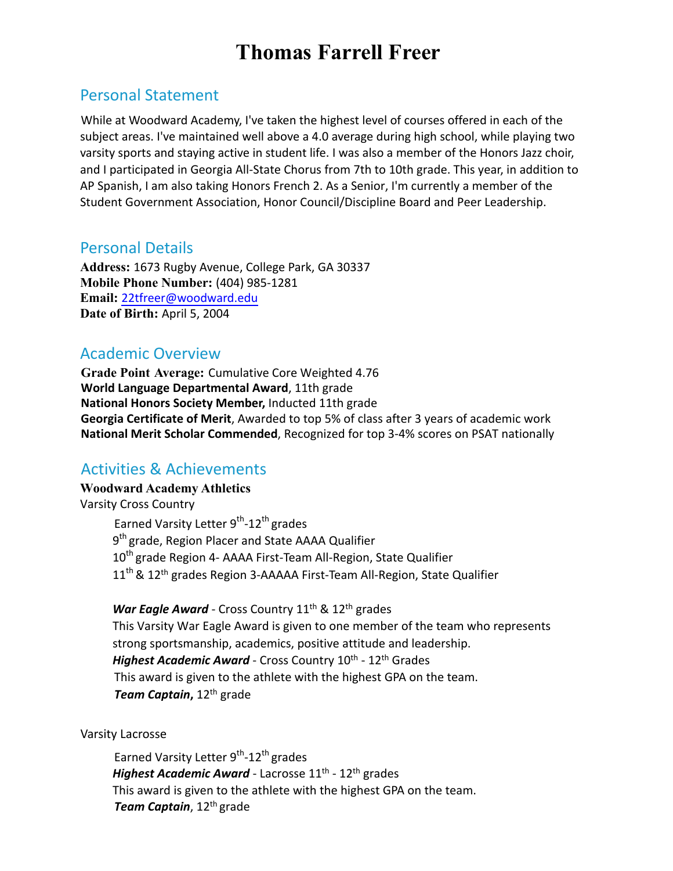# **Thomas Farrell Freer**

## Personal Statement

While at Woodward Academy, I've taken the highest level of courses offered in each of the subject areas. I've maintained well above a 4.0 average during high school, while playing two varsity sports and staying active in student life. I was also a member of the Honors Jazz choir, and I participated in Georgia All-State Chorus from 7th to 10th grade. This year, in addition to AP Spanish, I am also taking Honors French 2. As a Senior, I'm currently a member of the Student Government Association, Honor Council/Discipline Board and Peer Leadership.

### Personal Details

**Address:** 1673 Rugby Avenue, College Park, GA 30337 **Mobile Phone Number:** (404) 985-1281 **Email:** 22tfreer@woodward.edu **Date of Birth:** April 5, 2004

# Academic Overview

**Grade Point Average:** Cumulative Core Weighted 4.76 **World Language Departmental Award**, 11th grade **National Honors Society Member,** Inducted 11th grade **Georgia Certificate of Merit**, Awarded to top 5% of class after 3 years of academic work **National Merit Scholar Commended**, Recognized for top 3-4% scores on PSAT nationally

# Activities & Achievements

## **Woodward Academy Athletics** Varsity Cross Country

Earned Varsity Letter 9<sup>th</sup>-12<sup>th</sup> grades 9<sup>th</sup> grade, Region Placer and State AAAA Qualifier 10<sup>th</sup> grade Region 4- AAAA First-Team All-Region, State Qualifier  $11<sup>th</sup>$  &  $12<sup>th</sup>$  grades Region 3-AAAAA First-Team All-Region, State Qualifier

War Eagle Award - Cross Country 11<sup>th</sup> & 12<sup>th</sup> grades This Varsity War Eagle Award is given to one member of the team who represents strong sportsmanship, academics, positive attitude and leadership. Highest Academic Award - Cross Country 10<sup>th</sup> - 12<sup>th</sup> Grades This award is given to the athlete with the highest GPA on the team. *Team Captain***,** 12th grade

Varsity Lacrosse

Earned Varsity Letter 9<sup>th</sup>-12<sup>th</sup> grades *Highest Academic Award* - Lacrosse 11<sup>th</sup> - 12<sup>th</sup> grades This award is given to the athlete with the highest GPA on the team. *Team Captain*, 12th grade